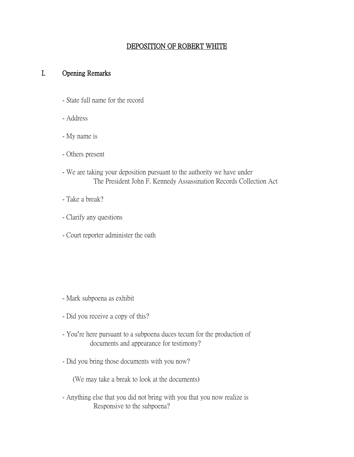### DEPOSITION OF ROBERT WHITE

#### I. Opening Remarks

- State full name for the record
- Address
- My name is
- Others present
- We are taking your deposition pursuant to the authority we have under The President John F. Kennedy Assassination Records Collection Act
- Take a break?
- Clarify any questions
- Court reporter administer the oath

- Mark subpoena as exhibit
- Did you receive a copy of this?
- You're here pursuant to a subpoena duces tecum for the production of documents and appearance for testimony?
- Did you bring those documents with you now?

(We may take a break to look at the documents)

- Anything else that you did not bring with you that you now realize is Responsive to the subpoena?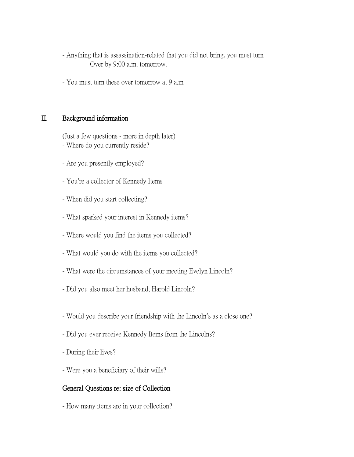- Anything that is assassination-related that you did not bring, you must turn Over by 9:00 a.m. tomorrow.
- You must turn these over tomorrow at 9 a.m

#### II. Background information

(Just a few questions - more in depth later) - Where do you currently reside?

- Are you presently employed?
- You're a collector of Kennedy Items
- When did you start collecting?
- What sparked your interest in Kennedy items?
- Where would you find the items you collected?
- What would you do with the items you collected?
- What were the circumstances of your meeting Evelyn Lincoln?
- Did you also meet her husband, Harold Lincoln?
- Would you describe your friendship with the Lincoln's as a close one?
- Did you ever receive Kennedy Items from the Lincolns?
- During their lives?
- Were you a beneficiary of their wills?

#### General Questions re: size of Collection

- How many items are in your collection?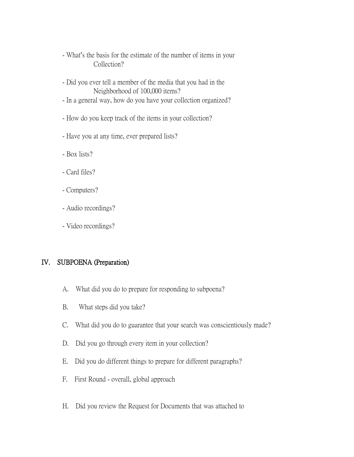- What's the basis for the estimate of the number of items in your Collection?
- Did you ever tell a member of the media that you had in the Neighborhood of 100,000 items?
- In a general way, how do you have your collection organized?
- How do you keep track of the items in your collection?
- Have you at any time, ever prepared lists?
- Box lists?
- Card files?
- Computers?
- Audio recordings?
- Video recordings?

## IV. SUBPOENA (Preparation)

- A. What did you do to prepare for responding to subpoena?
- B. What steps did you take?
- C. What did you do to guarantee that your search was conscientiously made?
- D. Did you go through every item in your collection?
- E. Did you do different things to prepare for different paragraphs?
- F. First Round overall, global approach
- H. Did you review the Request for Documents that was attached to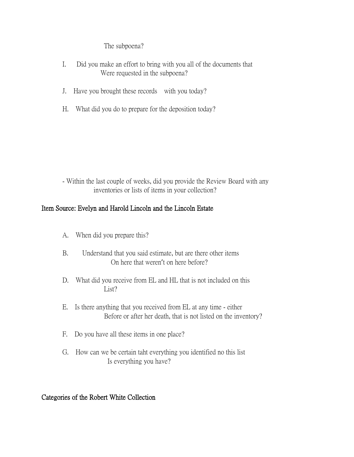#### The subpoena?

- I. Did you make an effort to bring with you all of the documents that Were requested in the subpoena?
- J. Have you brought these records with you today?
- H. What did you do to prepare for the deposition today?

- Within the last couple of weeks, did you provide the Review Board with any inventories or lists of items in your collection?

## Item Source: Evelyn and Harold Lincoln and the Lincoln Estate

- A. When did you prepare this?
- B. Understand that you said estimate, but are there other items On here that weren't on here before?
- D. What did you receive from EL and HL that is not included on this List?
- E. Is there anything that you received from EL at any time either Before or after her death, that is not listed on the inventory?
- F. Do you have all these items in one place?
- G. How can we be certain taht everything you identified no this list Is everything you have?

## Categories of the Robert White Collection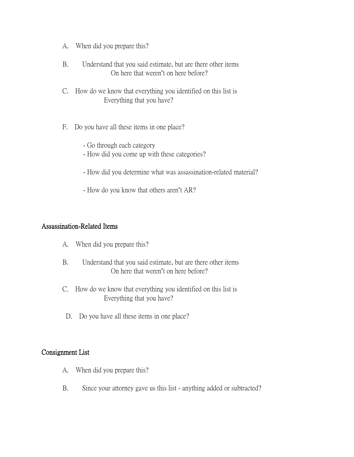- A. When did you prepare this?
- B. Understand that you said estimate, but are there other items On here that weren't on here before?
- C. How do we know that everything you identified on this list is Everything that you have?
- F. Do you have all these items in one place?
	- Go through each category
	- How did you come up with these categories?
	- How did you determine what was assassination-related material?
	- How do you know that others aren't AR?

#### Assassination-Related Items

- A. When did you prepare this?
- B. Understand that you said estimate, but are there other items On here that weren't on here before?
- C. How do we know that everything you identified on this list is Everything that you have?
- D. Do you have all these items in one place?

#### Consignment List

- A. When did you prepare this?
- B. Since your attorney gave us this list anything added or subtracted?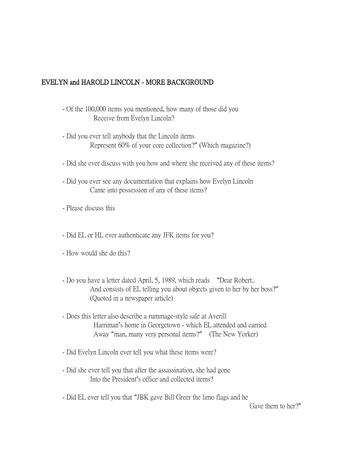## EVELYN and HAROLD LINCOLN - MORE BACKGROUND

- Of the 100,000 items you mentioned, how many of those did you Receive from Evelyn Lincoln?
- Did you ever tell anybody that the Lincoln items Represent 60% of your core collection?" (Which magazine?)
- Did she ever discuss with you how and where she received any of these items?
- Did you ever see any documentation that explains how Evelyn Lincoln Came into possession of any of these items?
- Please discuss this
- Did EL or HL ever authenticate any JFK items for you?
- How would she do this?
- Do you have a letter dated April, 5, 1989, which reads "Dear Robert.. And consists of EL telling you about objects given to her by her boss?" (Quoted in a newspaper article)
- Does this letter also describe a rummage-style sale at Averill Harriman's home in Georgetown - which EL attended and carried Away "man, many very personal items?" (The New Yorker)
- Did Evelyn Lincoln ever tell you what these items were?
- Did she ever tell you that after the assassination, she had gone Into the President's office and collected items?
- Did EL ever tell you that "JBK gave Bill Greer the limo flags and he

Gave them to her?"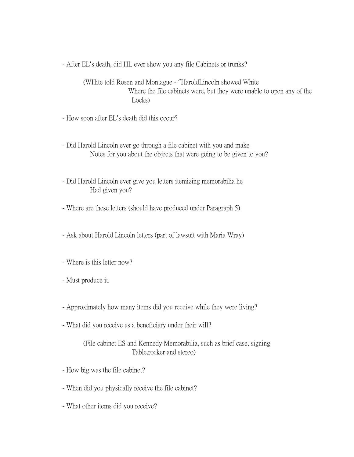- After EL's death, did HL ever show you any file Cabinets or trunks?

(WHite told Rosen and Montague - "HaroldLincoln showed White Where the file cabinets were, but they were unable to open any of the Locks)

- How soon after EL's death did this occur?

- Did Harold Lincoln ever go through a file cabinet with you and make Notes for you about the objects that were going to be given to you?
- Did Harold Lincoln ever give you letters itemizing memorabilia he Had given you?
- Where are these letters (should have produced under Paragraph 5)
- Ask about Harold Lincoln letters (part of lawsuit with Maria Wray)
- Where is this letter now?
- Must produce it.
- Approximately how many items did you receive while they were living?
- What did you receive as a beneficiary under their will?

(File cabinet ES and Kennedy Memorabilia, such as brief case, signing Table,rocker and stereo)

- How big was the file cabinet?
- When did you physically receive the file cabinet?
- What other items did you receive?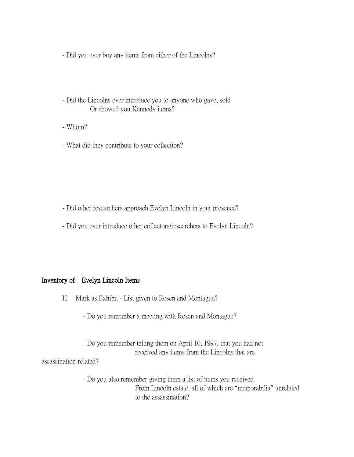- Did you ever buy any items from either of the Lincolns?
- Did the Lincolns ever introduce you to anyone who gave, sold Or showed you Kennedy items?
- Whom?
- What did they contribute to your collection?

- Did other researchers approach Evelyn Lincoln in your presence?
- Did you ever introduce other collectors/researchers to Evelyn Lincoln?

#### Inventory of Evelyn Lincoln Items

- H. Mark as Exhibit List given to Rosen and Montague?
	- Do you remember a meeting with Rosen and Montague?

- Do you remember telling them on April 10, 1997, that you had not received any items from the Lincolns that are assassination-related?

> - Do you also remember giving them a list of items you received From Lincoln estate, all of which are "memorabilia" unrelated to the assassination?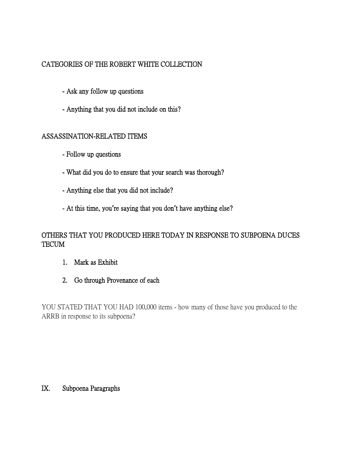# CATEGORIES OF THE ROBERT WHITE COLLECTION

- Ask any follow up questions
- Anything that you did not include on this?

## ASSASSINATION-RELATED ITEMS

- Follow up questions
- What did you do to ensure that your search was thorough?
- Anything else that you did not include?
- At this time, you**'**re saying that you don**'**t have anything else?

## OTHERS THAT YOU PRODUCED HERE TODAY IN RESPONSE TO SUBPOENA DUCES TECUM

- 1. Mark as Exhibit
- 2. Go through Provenance of each

YOU STATED THAT YOU HAD 100,000 items - how many of those have you produced to the ARRB in response to its subpoena?

#### IX. Subpoena Paragraphs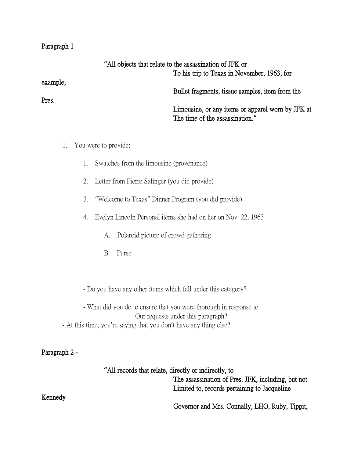#### Paragraph 1

example,

Pres.

|          | "All objects that relate to the assassination of JFK or                              |
|----------|--------------------------------------------------------------------------------------|
|          | To his trip to Texas in November, 1963, for                                          |
| example, | Bullet fragments, tissue samples, item from the                                      |
| Pres.    | Limousine, or any items or apparel worn by JFK at<br>The time of the assassination." |
|          |                                                                                      |

- 1. You were to provide:
	- 1. Swatches from the limousine (provenance)
	- 2. Letter from Pierre Salinger (you did provide)
	- 3. "Welcome to Texas" Dinner Program (you did provide)
	- 4. Evelyn Lincoln Personal items she had on her on Nov. 22, 1963
		- A. Polaroid picture of crowd gathering
		- B. Purse
	- Do you have any other items which fall under this category?

- What did you do to ensure that you were thorough in response to Our requests under this paragraph? - At this time, you're saying that you don't have any thing else?

## Paragraph 2 -

**"**All records that relate, directly or indirectly, to The assassination of Pres. JFK, including, but not Limited to, records pertaining to Jacqueline

Governor and Mrs. Connally, LHO, Ruby, Tippit,

Kennedy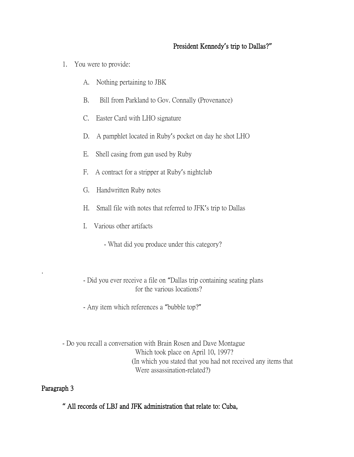## President Kennedy**'**s trip to Dallas?**"**

- 1. You were to provide:
	- A. Nothing pertaining to JBK
	- B. Bill from Parkland to Gov. Connally (Provenance)
	- C. Easter Card with LHO signature
	- D. A pamphlet located in Ruby's pocket on day he shot LHO
	- E. Shell casing from gun used by Ruby
	- F. A contract for a stripper at Ruby's nightclub
	- G. Handwritten Ruby notes
	- H. Small file with notes that referred to JFK's trip to Dallas
	- I. Various other artifacts
		- What did you produce under this category?
	- Did you ever receive a file on "Dallas trip containing seating plans for the various locations?
	- Any item which references a "bubble top?"

- Do you recall a conversation with Brain Rosen and Dave Montague Which took place on April 10, 1997? (In which you stated that you had not received any items that Were assassination-related?)

## Paragraph 3

.

**"** All records of LBJ and JFK administration that relate to: Cuba,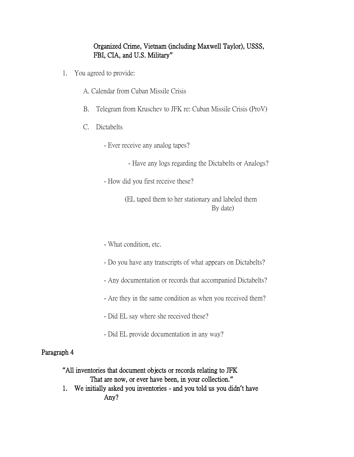## Organized Crime, Vietnam (including Maxwell Taylor), USSS, FBI, CIA, and U.S. Military**"**

- 1. You agreed to provide:
	- A. Calendar from Cuban Missile Crisis
	- B. Telegram from Kruschev to JFK re: Cuban Missile Crisis (ProV)
	- C. Dictabelts
		- Ever receive any analog tapes?
			- Have any logs regarding the Dictabelts or Analogs?
		- How did you first receive these?

(EL taped them to her stationary and labeled them By date)

- What condition, etc.
- Do you have any transcripts of what appears on Dictabelts?
- Any documentation or records that accompanied Dictabelts?
- Are they in the same condition as when you received them?
- Did EL say where she received these?
- Did EL provide documentation in any way?

#### Paragraph 4

**"**All inventories that document objects or records relating to JFK

That are now, or ever have been, in your collection.**"**

1. We initially asked you inventories - and you told us you didn**'**t have Any?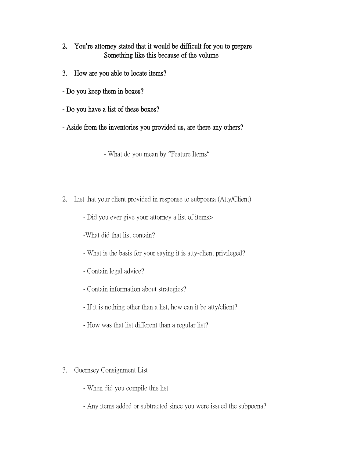- 2. You**'**re attorney stated that it would be difficult for you to prepare Something like this because of the volume
- 3. How are you able to locate items?
- Do you keep them in boxes?
- Do you have a list of these boxes?
- Aside from the inventories you provided us, are there any others?

- What do you mean by "Feature Items"

- 2. List that your client provided in response to subpoena (Atty/Client)
	- Did you ever give your attorney a list of items>

-What did that list contain?

- What is the basis for your saying it is atty-client privileged?
- Contain legal advice?
- Contain information about strategies?
- If it is nothing other than a list, how can it be atty/client?
- How was that list different than a regular list?
- 3. Guernsey Consignment List
	- When did you compile this list
	- Any items added or subtracted since you were issued the subpoena?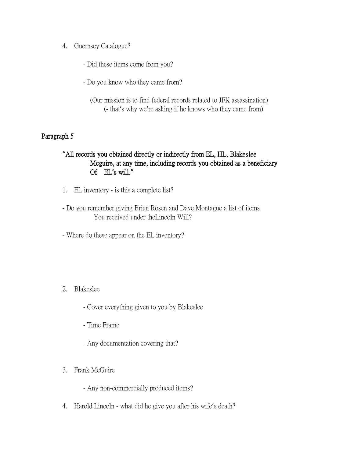- 4. Guernsey Catalogue?
	- Did these items come from you?
	- Do you know who they came from?

 (Our mission is to find federal records related to JFK assassination) (- that's why we're asking if he knows who they came from)

## Paragraph 5

## **"**All records you obtained directly or indirectly from EL, HL, Blakeslee Mcguire, at any time, including records you obtained as a beneficiary Of EL**'**s will.**"**

- 1. EL inventory is this a complete list?
- Do you remember giving Brian Rosen and Dave Montague a list of items You received under theLincoln Will?
- Where do these appear on the EL inventory?

## 2. Blakeslee

- Cover everything given to you by Blakeslee
- Time Frame
- Any documentation covering that?
- 3. Frank McGuire
	- Any non-commercially produced items?
- 4. Harold Lincoln what did he give you after his wife's death?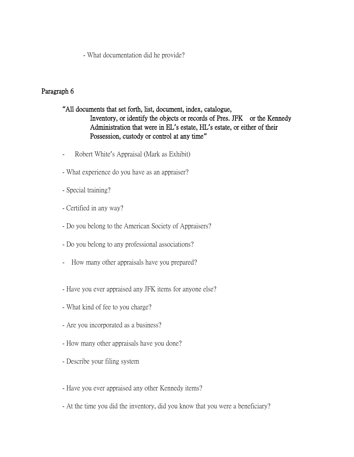- What documentation did he provide?

# Paragraph 6

# **"**All documents that set forth, list, document, index, catalogue, Inventory, or identify the objects or records of Pres. JFK or the Kennedy Administration that were in EL**'**s estate, HL**'**s estate, or either of their Possession, custody or control at any time**"**

- Robert White's Appraisal (Mark as Exhibit)
- What experience do you have as an appraiser?
- Special training?
- Certified in any way?
- Do you belong to the American Society of Appraisers?
- Do you belong to any professional associations?
- How many other appraisals have you prepared?
- Have you ever appraised any JFK items for anyone else?
- What kind of fee to you charge?
- Are you incorporated as a business?
- How many other appraisals have you done?
- Describe your filing system
- Have you ever appraised any other Kennedy items?
- At the time you did the inventory, did you know that you were a beneficiary?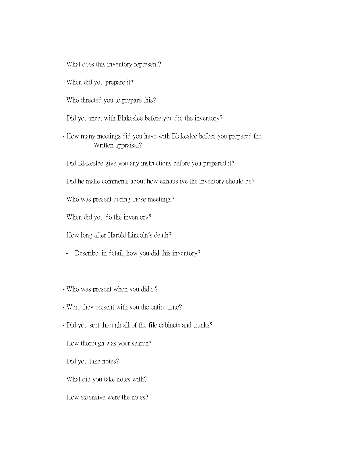- What does this inventory represent?
- When did you prepare it?
- Who directed you to prepare this?
- Did you meet with Blakeslee before you did the inventory?
- How many meetings did you have with Blakeslee before you prepared the Written appraisal?
- Did Blakeslee give you any instructions before you prepared it?
- Did he make comments about how exhaustive the inventory should be?
- Who was present during those meetings?
- When did you do the inventory?
- How long after Harold Lincoln's death?
- Describe, in detail, how you did this inventory?
- Who was present when you did it?
- Were they present with you the entire time?
- Did you sort through all of the file cabinets and trunks?
- How thorough was your search?
- Did you take notes?
- What did you take notes with?
- How extensive were the notes?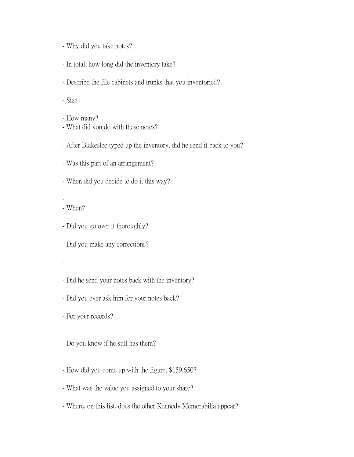- Why did you take notes?
- In total, how long did the inventory take?
- Describe the file cabinets and trunks that you inventoried?
- Size
- How many?
- What did you do with these notes?
- After Blakeslee typed up the inventory, did he send it back to you?
- Was this part of an arrangement?
- When did you decide to do it this way?
- - When?
- Did you go over it thoroughly?
- Did you make any corrections?
- -
- Did he send your notes back with the inventory?
- Did you ever ask him for your notes back?
- For your records?
- Do you know if he still has them?
- How did you come up with the figure, \$159,650?
- What was the value you assigned to your share?
- Where, on this list, does the other Kennedy Memorabilia appear?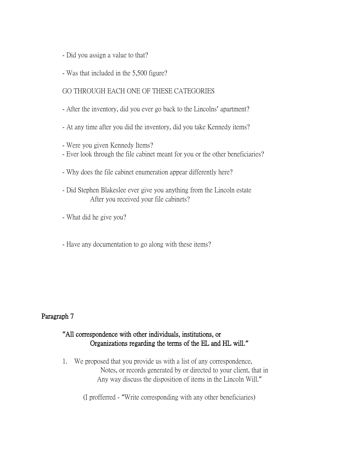- Did you assign a value to that?
- Was that included in the 5,500 figure?

## GO THROUGH EACH ONE OF THESE CATEGORIES

- After the inventory, did you ever go back to the Lincolns' apartment?
- At any time after you did the inventory, did you take Kennedy items?
- Were you given Kennedy Items?
- Ever look through the file cabinet meant for you or the other beneficiaries?
- Why does the file cabinet enumeration appear differently here?
- Did Stephen Blakeslee ever give you anything from the Lincoln estate After you received your file cabinets?
- What did he give you?
- Have any documentation to go along with these items?

## Paragraph 7

## **"**All correspondence with other individuals, institutions, or Organizations regarding the terms of the EL and HL will.**"**

1. We proposed that you provide us with a list of any correspondence, Notes, or records generated by or directed to your client, that in Any way discuss the disposition of items in the Lincoln Will."

(I profferred - "Write corresponding with any other beneficiaries)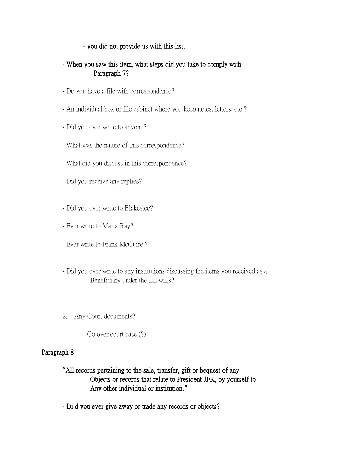### - you did not provide us with this list.

## - When you saw this item, what steps did you take to comply with Paragraph 7?

- Do you have a file with correspondence?
- An individual box or file cabinet where you keep notes, letters, etc.?
- Did you ever write to anyone?
- What was the nature of this correspondence?
- What did you discuss in this correspondence?
- Did you receive any replies?
- Did you ever write to Blakeslee?
- Ever write to Maria Ray?
- Ever write to Frank McGuire ?
- Did you ever write to any institutions discussing the items you received as a Beneficiary under the EL wills?
- 2. Any Court documents?
	- Go over court case (?)

## Paragraph 8

- **"**All records pertaining to the sale, transfer, gift or bequest of any Objects or records that relate to President JFK, by yourself to Any other individual or institution.**"**
- Di d you ever give away or trade any records or objects?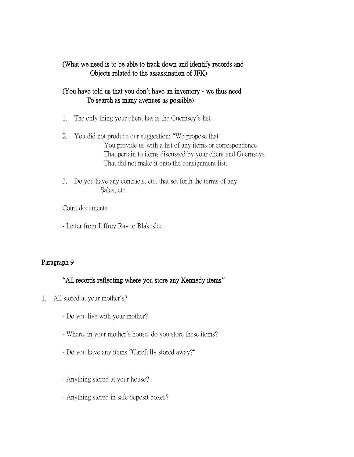## (What we need is to be able to track down and identify records and Objects related to the assassination of JFK)

## (You have told us that you don**'**t have an inventory - we thus need To search as many avenues as possible)

- 1. The only thing your client has is the Guernsey's list
- 2. You did not produce our suggestion: "We propose that You provide us with a list of any items or correspondence That pertain to items discussed by your client and Guernseys That did not make it onto the consignment list.
- 3. Do you have any contracts, etc. that set forth the terms of any Sales, etc.

Court documents

- Letter from Jeffrey Ray to Blakeslee

# Paragraph 9

# **"**All records reflecting where you store any Kennedy items**"**

- 1. All stored at your mother's?
	- Do you live with your mother?
	- Where, in your mother's house, do you store these items?
	- Do you have any items "Carefully stored away?"
	- Anything stored at your house?
	- Anything stored in safe deposit boxes?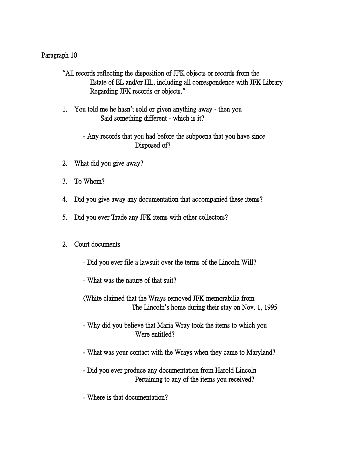## Paragraph 10

**"**All records reflecting the disposition of JFK objects or records from the Estate of EL and/or HL, including all correspondence with JFK Library Regarding JFK records or objects.**"**

- 1. You told me he hasn**'**t sold or given anything away then you Said something different - which is it?
	- Any records that you had before the subpoena that you have since Disposed of?
- 2. What did you give away?
- 3. To Whom?
- 4. Did you give away any documentation that accompanied these items?
- 5. Did you ever Trade any JFK items with other collectors?

## 2. Court documents

- Did you ever file a lawsuit over the terms of the Lincoln Will?
- What was the nature of that suit?
- (White claimed that the Wrays removed JFK memorabilia from The Lincoln**'**s home during their stay on Nov. 1, 1995
- Why did you believe that Maria Wray took the items to which you Were entitled?
- What was your contact with the Wrays when they came to Maryland?
- Did you ever produce any documentation from Harold Lincoln Pertaining to any of the items you received?
- Where is that documentation?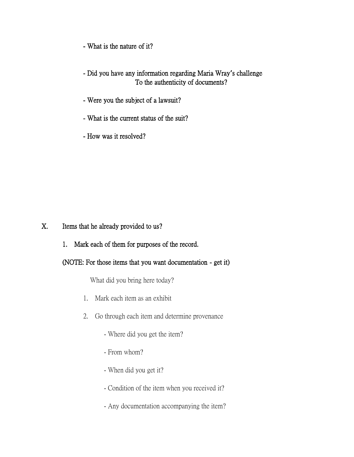- What is the nature of it?

- Did you have any information regarding Maria Wray**'**s challenge To the authenticity of documents?
- Were you the subject of a lawsuit?
- What is the current status of the suit?
- How was it resolved?

X. Items that he already provided to us?

1. Mark each of them for purposes of the record.

## (NOTE: For those items that you want documentation - get it)

What did you bring here today?

- 1. Mark each item as an exhibit
- 2. Go through each item and determine provenance
	- Where did you get the item?
	- From whom?
	- When did you get it?
	- Condition of the item when you received it?
	- Any documentation accompanying the item?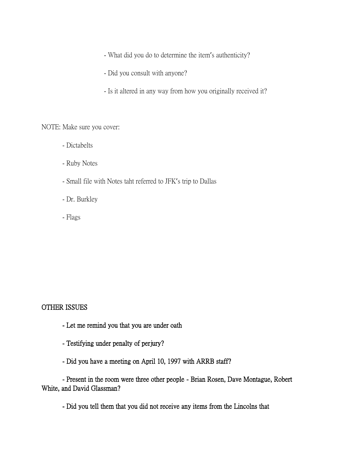- What did you do to determine the item's authenticity?

- Did you consult with anyone?
- Is it altered in any way from how you originally received it?

NOTE: Make sure you cover:

- Dictabelts
- Ruby Notes
- Small file with Notes taht referred to JFK's trip to Dallas
- Dr. Burkley
- Flags

## OTHER ISSUES

- Let me remind you that you are under oath
- Testifying under penalty of perjury?
- Did you have a meeting on April 10, 1997 with ARRB staff?

- Present in the room were three other people - Brian Rosen, Dave Montague, Robert White, and David Glassman?

- Did you tell them that you did not receive any items from the Lincolns that